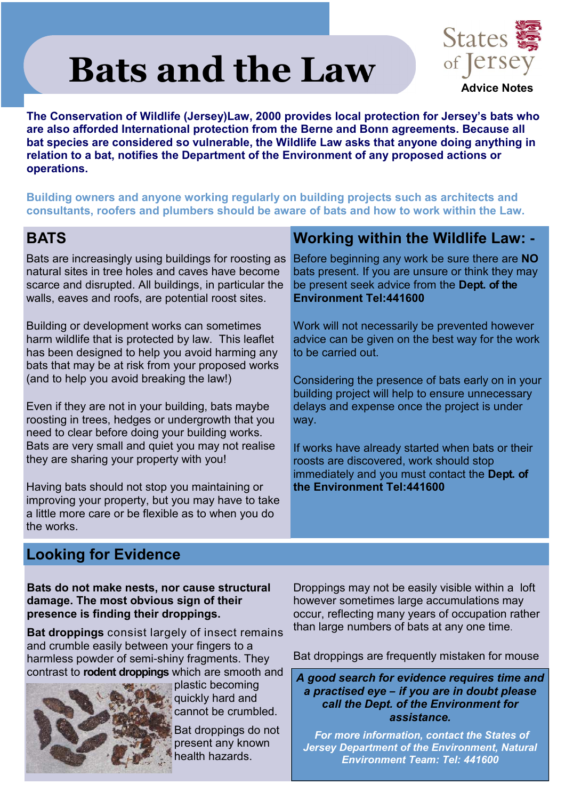# **Bats and the Law**



**The Conservation of Wildlife (Jersey)Law, 2000 provides local protection for Jersey's bats who are also afforded International protection from the Berne and Bonn agreements. Because all bat species are considered so vulnerable, the Wildlife Law asks that anyone doing anything in relation to a bat, notifies the Department of the Environment of any proposed actions or operations.**

**Building owners and anyone working regularly on building projects such as architects and consultants, roofers and plumbers should be aware of bats and how to work within the Law.**

# **BATS**

Bats are increasingly using buildings for roosting as natural sites in tree holes and caves have become scarce and disrupted. All buildings, in particular the walls, eaves and roofs, are potential roost sites.

Building or development works can sometimes harm wildlife that is protected by law. This leaflet has been designed to help you avoid harming any bats that may be at risk from your proposed works (and to help you avoid breaking the law!)

Even if they are not in your building, bats maybe roosting in trees, hedges or undergrowth that you need to clear before doing your building works. Bats are very small and quiet you may not realise they are sharing your property with you!

Having bats should not stop you maintaining or improving your property, but you may have to take a little more care or be flexible as to when you do the works.

# **Working within the Wildlife Law: -**

Before beginning any work be sure there are **NO** bats present. If you are unsure or think they may be present seek advice from the **Dept. of the Environment Tel:441600**

Work will not necessarily be prevented however advice can be given on the best way for the work to be carried out.

Considering the presence of bats early on in your building project will help to ensure unnecessary delays and expense once the project is under way.

If works have already started when bats or their roosts are discovered, work should stop immediately and you must contact the **Dept. of the Environment Tel:441600**

# **Looking for Evidence**

**Bats do not make nests, nor cause structural damage. The most obvious sign of their presence is finding their droppings.**

**Bat droppings** consist largely of insect remains and crumble easily between your fingers to a harmless powder of semi-shiny fragments. They contrast to **rodent droppings** which are smooth and



plastic becoming quickly hard and cannot be crumbled.

Bat droppings do not present any known health hazards.

Droppings may not be easily visible within a loft however sometimes large accumulations may occur, reflecting many years of occupation rather than large numbers of bats at any one time.

Bat droppings are frequently mistaken for mouse

*A good search for evidence requires time and a practised eye* **–** *if you are in doubt please call the Dept. of the Environment for assistance.*

*For more information, contact the States of Jersey Department of the Environment, Natural Environment Team: Tel: 441600*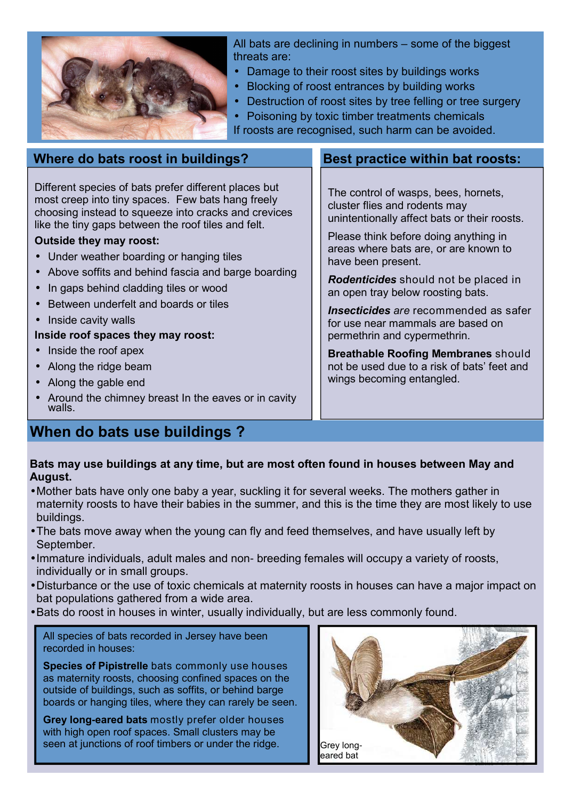

All bats are declining in numbers – some of the biggest threats are:

- Damage to their roost sites by buildings works
- Blocking of roost entrances by building works
- Destruction of roost sites by tree felling or tree surgery
- Poisoning by toxic timber treatments chemicals
- If roosts are recognised, such harm can be avoided.

# Different species of bats prefer different places but most creep into tiny spaces. Few bats hang freely choosing instead to squeeze into cracks and crevices **Where do bats roost in buildings?**

#### **Outside they may roost:**

• Under weather boarding or hanging tiles

like the tiny gaps between the roof tiles and felt.

- Above soffits and behind fascia and barge boarding
- In gaps behind cladding tiles or wood
- Between underfelt and boards or tiles
- Inside cavity walls

#### **Inside roof spaces they may roost:**

- Inside the roof apex
- Along the ridge beam
- Along the gable end
- Around the chimney breast In the eaves or in cavity walls.

# **When do bats use buildings ?**

## **Best practice within bat roosts:**

The control of wasps, bees, hornets, cluster flies and rodents may unintentionally affect bats or their roosts.

Please think before doing anything in areas where bats are, or are known to have been present.

*Rodenticides* should not be placed in an open tray below roosting bats.

*Insecticides are* recommended as safer for use near mammals are based on permethrin and cypermethrin.

**Breathable Roofing Membranes** should not be used due to a risk of bats' feet and wings becoming entangled.

#### **Bats may use buildings at any time, but are most often found in houses between May and August.**

- Mother bats have only one baby a year, suckling it for several weeks. The mothers gather in maternity roosts to have their babies in the summer, and this is the time they are most likely to use buildings.
- The bats move away when the young can fly and feed themselves, and have usually left by September.
- Immature individuals, adult males and non- breeding females will occupy a variety of roosts, individually or in small groups.
- Disturbance or the use of toxic chemicals at maternity roosts in houses can have a major impact on bat populations gathered from a wide area.
- Bats do roost in houses in winter, usually individually, but are less commonly found.

All species of bats recorded in Jersey have been recorded in houses:

**Species of Pipistrelle** bats commonly use houses as maternity roosts, choosing confined spaces on the outside of buildings, such as soffits, or behind barge boards or hanging tiles, where they can rarely be seen.

**Grey long-eared bats** mostly prefer older houses with high open roof spaces. Small clusters may be seen at junctions of roof timbers or under the ridge.